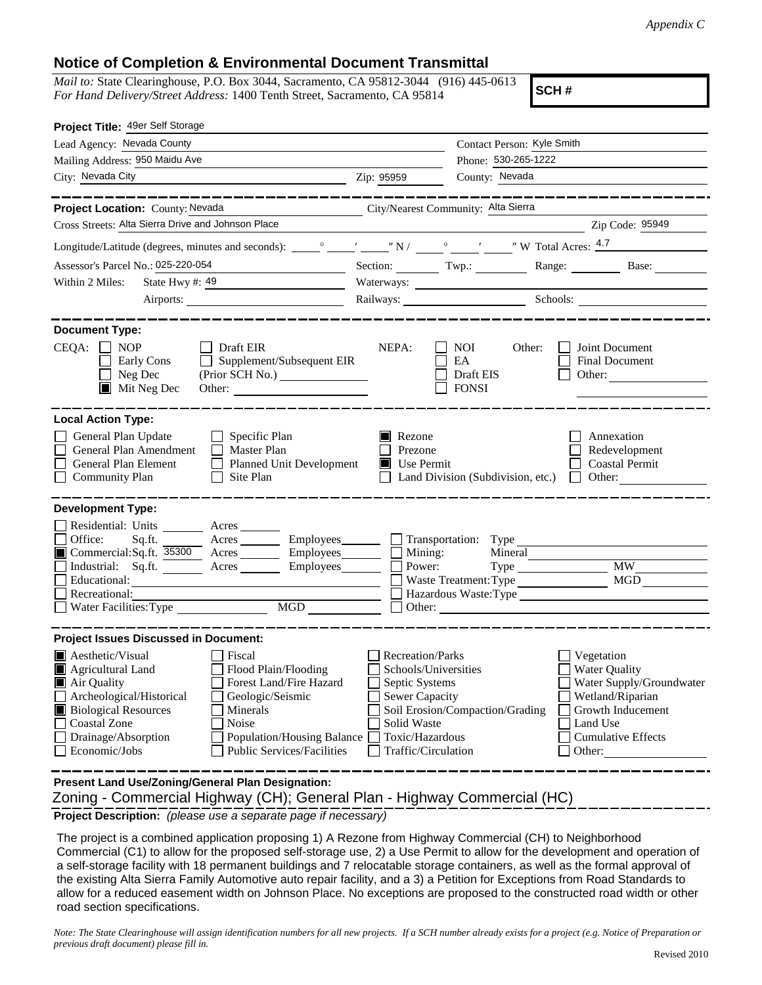## **Notice of Completion & Environmental Document Transmittal**

*Mail to:* State Clearinghouse, P.O. Box 3044, Sacramento, CA 95812-3044 (916) 445-0613 *For Hand Delivery/Street Address:* 1400 Tenth Street, Sacramento, CA 95814

**SCH #**

| Project Title: 49er Self Storage                                                                                                                                                                                                                     |                                                 |                                                         |                                                                          |  |
|------------------------------------------------------------------------------------------------------------------------------------------------------------------------------------------------------------------------------------------------------|-------------------------------------------------|---------------------------------------------------------|--------------------------------------------------------------------------|--|
| Lead Agency: Nevada County                                                                                                                                                                                                                           |                                                 | Contact Person: Kyle Smith                              |                                                                          |  |
| Mailing Address: 950 Maidu Ave                                                                                                                                                                                                                       | Phone: 530-265-1222                             |                                                         |                                                                          |  |
| City: Nevada City<br><u> 1989 - Johann Barn, amerikan personal (</u>                                                                                                                                                                                 | County: Nevada<br>Zip: 95959                    |                                                         |                                                                          |  |
|                                                                                                                                                                                                                                                      |                                                 |                                                         |                                                                          |  |
| City/Nearest Community: Alta Sierra<br>Project Location: County: Nevada                                                                                                                                                                              |                                                 |                                                         |                                                                          |  |
| Cross Streets: Alta Sierra Drive and Johnson Place                                                                                                                                                                                                   |                                                 |                                                         | Zip Code: 95949                                                          |  |
|                                                                                                                                                                                                                                                      |                                                 |                                                         |                                                                          |  |
| Assessor's Parcel No.: 025-220-054                                                                                                                                                                                                                   | Section: Twp.:                                  |                                                         | Range: Base:                                                             |  |
| State Hwy #: $49$<br>Within 2 Miles:                                                                                                                                                                                                                 |                                                 | Waterways:                                              |                                                                          |  |
| Airports:                                                                                                                                                                                                                                            |                                                 |                                                         | Railways: Schools: Schools: Charles Ballways:                            |  |
|                                                                                                                                                                                                                                                      |                                                 |                                                         |                                                                          |  |
| <b>Document Type:</b><br>$CEQA: \Box NP$<br>$\Box$ Draft EIR<br>Supplement/Subsequent EIR<br>Early Cons<br>$\Box$<br>$\Box$ Neg Dec<br>$\blacksquare$ Mit Neg Dec<br>Other:                                                                          | NEPA:                                           | <b>NOI</b><br>Other:<br>EA<br>Draft EIS<br><b>FONSI</b> | Joint Document<br><b>Final Document</b><br>Other:                        |  |
| <b>Local Action Type:</b><br>General Plan Update<br>$\Box$ Specific Plan<br>General Plan Amendment<br>$\Box$ Master Plan<br>General Plan Element<br><b>Planned Unit Development</b><br>$\perp$<br>$\Box$ Community Plan<br>Site Plan<br>$\mathsf{L}$ | Rezone<br>Prezone<br>$\blacksquare$ Use Permit  | Land Division (Subdivision, etc.)                       | Annexation<br>Redevelopment<br><b>Coastal Permit</b><br>Other:<br>$\Box$ |  |
| <b>Development Type:</b>                                                                                                                                                                                                                             |                                                 |                                                         |                                                                          |  |
| Residential: Units Acres                                                                                                                                                                                                                             |                                                 |                                                         |                                                                          |  |
| Office:<br>Sq.ft. Acres Employees                                                                                                                                                                                                                    |                                                 | Transportation: Type                                    |                                                                          |  |
| Commercial:Sq.ft. 35300 Acres _______ Employees _______                                                                                                                                                                                              | Mining:<br>Power:                               | Mineral                                                 | <b>MW</b>                                                                |  |
| Industrial: Sq.ft. _______ Acres ________ Employees________ $\square$<br>Educational:                                                                                                                                                                |                                                 | Type<br>Waste Treatment: Type                           | <b>MGD</b>                                                               |  |
| Recreational:                                                                                                                                                                                                                                        |                                                 |                                                         | Hazardous Waste: Type                                                    |  |
| MGD<br>Water Facilities: Type                                                                                                                                                                                                                        |                                                 | Other:                                                  |                                                                          |  |
|                                                                                                                                                                                                                                                      |                                                 |                                                         |                                                                          |  |
| <b>Project Issues Discussed in Document:</b>                                                                                                                                                                                                         |                                                 |                                                         |                                                                          |  |
| <b>A</b> esthetic/Visual<br>Fiscal<br>$\blacksquare$ Agricultural Land<br>Flood Plain/Flooding                                                                                                                                                       | <b>Recreation/Parks</b><br>Schools/Universities |                                                         | Vegetation<br>Water Quality                                              |  |
| Air Quality<br>Forest Land/Fire Hazard                                                                                                                                                                                                               | Septic Systems                                  |                                                         | Water Supply/Groundwater                                                 |  |
| Archeological/Historical<br>Geologic/Seismic                                                                                                                                                                                                         | <b>Sewer Capacity</b>                           |                                                         | Wetland/Riparian                                                         |  |
| <b>Biological Resources</b><br>Minerals                                                                                                                                                                                                              | Soil Erosion/Compaction/Grading                 |                                                         | Growth Inducement                                                        |  |
| <b>Coastal Zone</b><br>Noise                                                                                                                                                                                                                         | Solid Waste                                     |                                                         | Land Use                                                                 |  |
| Drainage/Absorption<br>Population/Housing Balance                                                                                                                                                                                                    | Toxic/Hazardous                                 |                                                         | <b>Cumulative Effects</b>                                                |  |
| Economic/Jobs<br><b>Public Services/Facilities</b>                                                                                                                                                                                                   | Traffic/Circulation                             |                                                         | Other:                                                                   |  |
| Present Land Use/Zoning/General Plan Designation:                                                                                                                                                                                                    |                                                 |                                                         |                                                                          |  |
|                                                                                                                                                                                                                                                      |                                                 |                                                         |                                                                          |  |
| Zoning - Commercial Highway (CH); General Plan - Highway Commercial (HC)                                                                                                                                                                             |                                                 |                                                         |                                                                          |  |

**Project Description:** *(please use a separate page if necessary)*

 The project is a combined application proposing 1) A Rezone from Highway Commercial (CH) to Neighborhood Commercial (C1) to allow for the proposed self-storage use, 2) a Use Permit to allow for the development and operation of a self-storage facility with 18 permanent buildings and 7 relocatable storage containers, as well as the formal approval of the existing Alta Sierra Family Automotive auto repair facility, and a 3) a Petition for Exceptions from Road Standards to allow for a reduced easement width on Johnson Place. No exceptions are proposed to the constructed road width or other road section specifications.

*Note: The State Clearinghouse will assign identification numbers for all new projects. If a SCH number already exists for a project (e.g. Notice of Preparation or previous draft document) please fill in.*